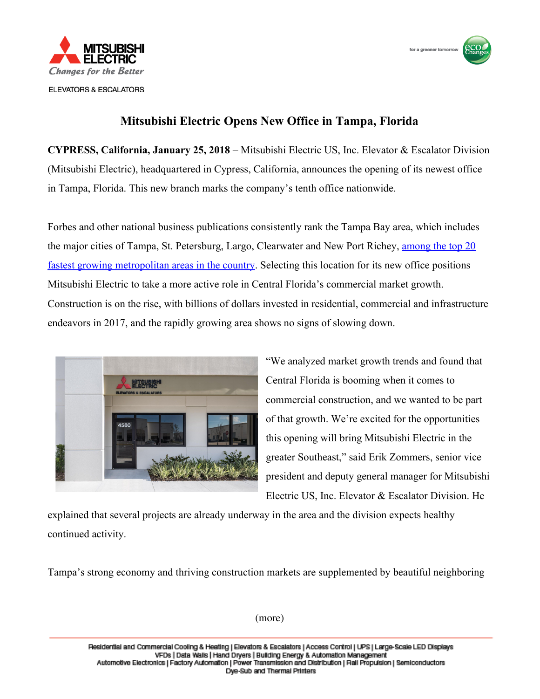



## **Mitsubishi Electric Opens New Office in Tampa, Florida**

**CYPRESS, California, January 25, 2018** – Mitsubishi Electric US, Inc. Elevator & Escalator Division (Mitsubishi Electric), headquartered in Cypress, California, announces the opening of its newest office in Tampa, Florida. This new branch marks the company's tenth office nationwide.

Forbes and other national business publications consistently rank the Tampa Bay area, which includes the major cities of Tampa, St. Petersburg, Largo, Clearwater and New Port Richey, [among the top 20](https://www.forbes.com/sites/samanthasharf/2017/02/10/full-list-americas-fastest-growing-cities-2017/) [fastest growing metropolitan areas in the country.](https://www.forbes.com/sites/samanthasharf/2017/02/10/full-list-americas-fastest-growing-cities-2017/) Selecting this location for its new office positions Mitsubishi Electric to take a more active role in Central Florida's commercial market growth. Construction is on the rise, with billions of dollars invested in residential, commercial and infrastructure endeavors in 2017, and the rapidly growing area shows no signs of slowing down.



"We analyzed market growth trends and found that Central Florida is booming when it comes to commercial construction, and we wanted to be part of that growth. We're excited for the opportunities this opening will bring Mitsubishi Electric in the greater Southeast," said Erik Zommers, senior vice president and deputy general manager for Mitsubishi Electric US, Inc. Elevator & Escalator Division. He

explained that several projects are already underway in the area and the division expects healthy continued activity.

Tampa's strong economy and thriving construction markets are supplemented by beautiful neighboring

(more)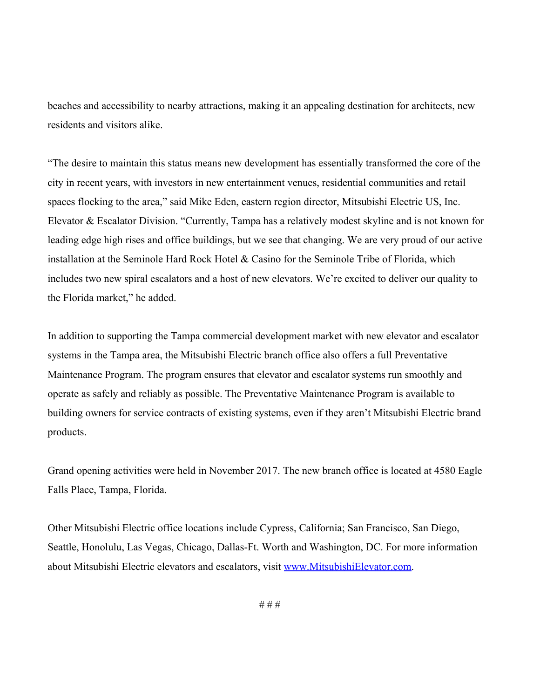beaches and accessibility to nearby attractions, making it an appealing destination for architects, new residents and visitors alike.

"The desire to maintain this status means new development has essentially transformed the core of the city in recent years, with investors in new entertainment venues, residential communities and retail spaces flocking to the area," said Mike Eden, eastern region director, Mitsubishi Electric US, Inc. Elevator & Escalator Division. "Currently, Tampa has a relatively modest skyline and is not known for leading edge high rises and office buildings, but we see that changing. We are very proud of our active installation at the Seminole Hard Rock Hotel & Casino for the Seminole Tribe of Florida, which includes two new spiral escalators and a host of new elevators. We're excited to deliver our quality to the Florida market," he added.

In addition to supporting the Tampa commercial development market with new elevator and escalator systems in the Tampa area, the Mitsubishi Electric branch office also offers a full Preventative Maintenance Program. The program ensures that elevator and escalator systems run smoothly and operate as safely and reliably as possible. The Preventative Maintenance Program is available to building owners for service contracts of existing systems, even if they aren't Mitsubishi Electric brand products.

Grand opening activities were held in November 2017. The new branch office is located at 4580 Eagle Falls Place, Tampa, Florida.

Other Mitsubishi Electric office locations include Cypress, California; San Francisco, San Diego, Seattle, Honolulu, Las Vegas, Chicago, Dallas-Ft. Worth and Washington, DC. For more information about Mitsubishi Electric elevators and escalators, visit [www.MitsubishiElevator.com](http://www.mitsubishielevator.com/).